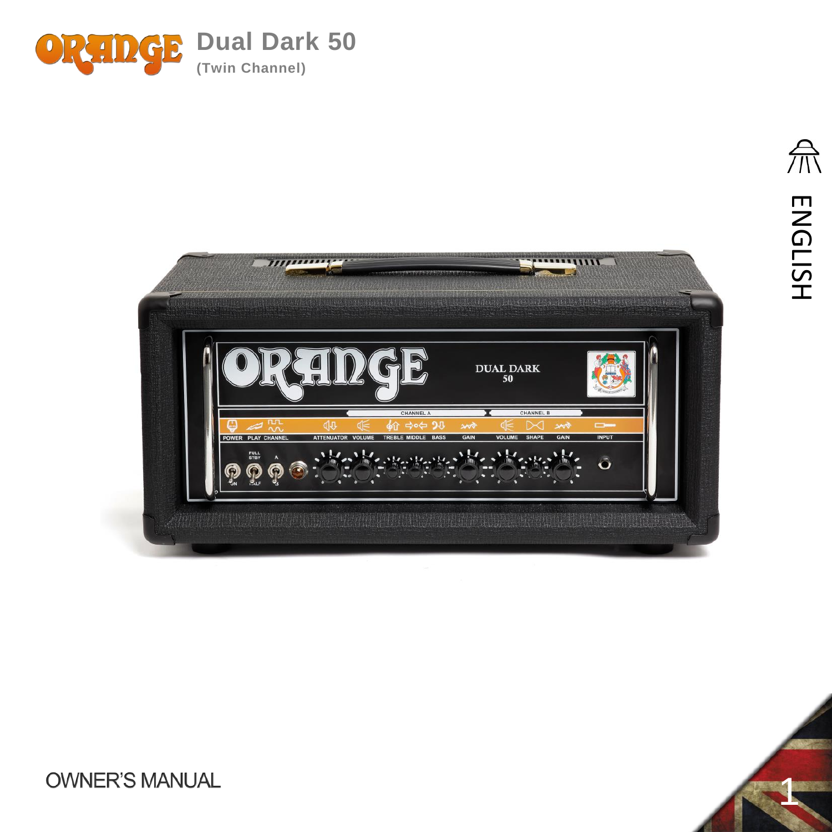





1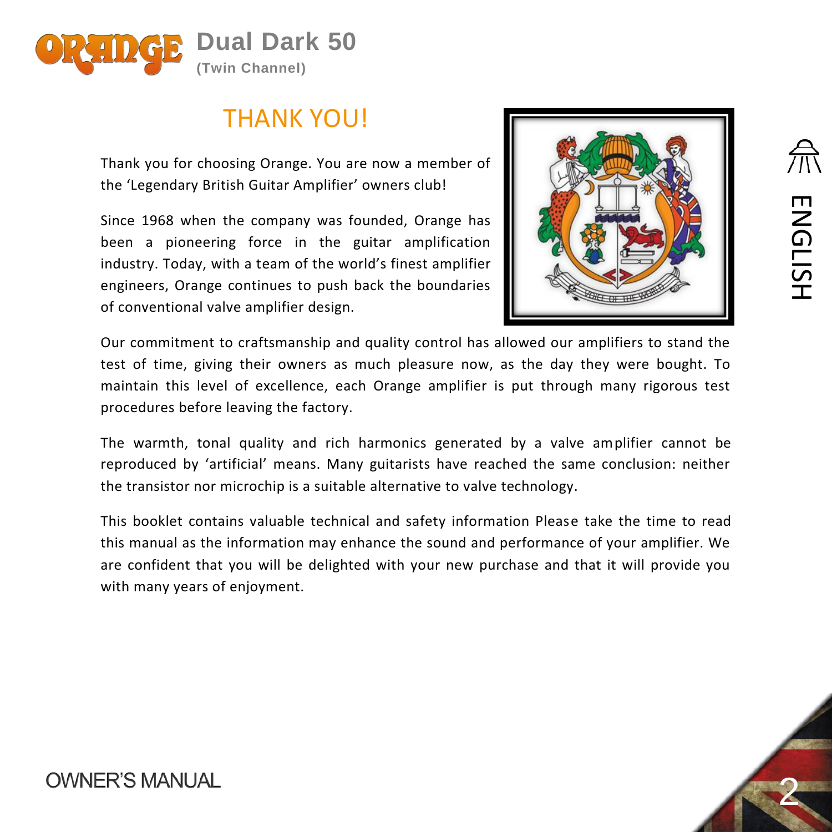

# THANK YOU!

Thank you for choosing Orange. You are now a member of the 'Legendary British Guitar Amplifier' owners club!

Since 1968 when the company was founded, Orange has been a pioneering force in the guitar amplification industry. Today, with a team of the world's finest amplifier engineers, Orange continues to push back the boundaries of conventional valve amplifier design.



Our commitment to craftsmanship and quality control has allowed our amplifiers to stand the test of time, giving their owners as much pleasure now, as the day they were bought. To maintain this level of excellence, each Orange amplifier is put through many rigorous test procedures before leaving the factory.

The warmth, tonal quality and rich harmonics generated by a valve amplifier cannot be reproduced by 'artificial' means. Many guitarists have reached the same conclusion: neither the transistor nor microchip is a suitable alternative to valve technology.

This booklet contains valuable technical and safety information Please take the time to read this manual as the information may enhance the sound and performance of your amplifier. We are confident that you will be delighted with your new purchase and that it will provide you with many years of enjoyment.



ENGLISH

**ENGLISH**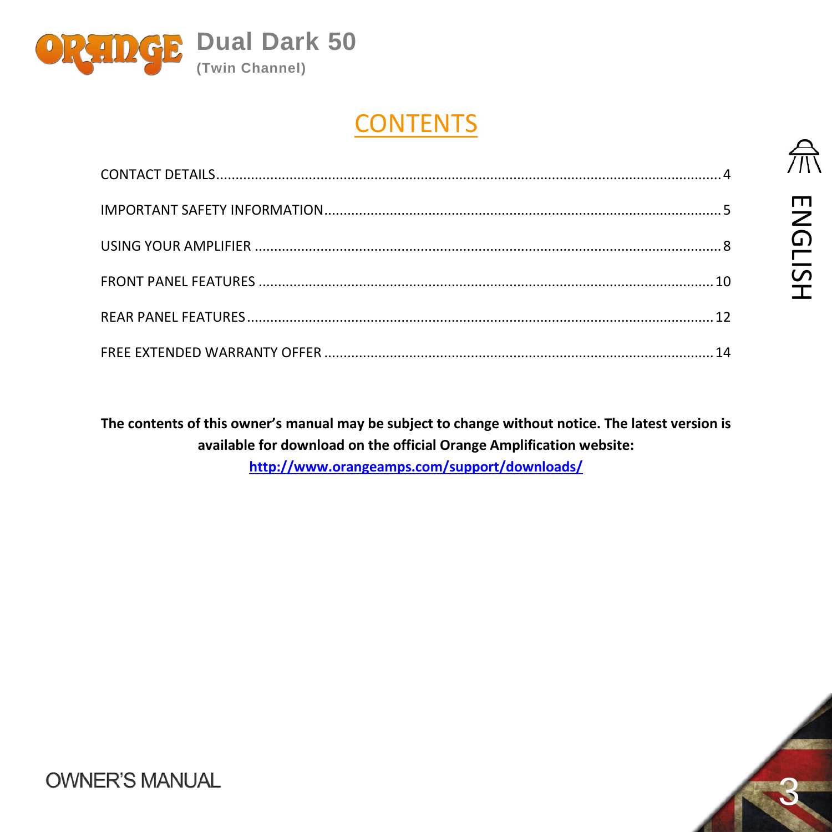

# **CONTENTS**

**The contents of this owner's manual may be subject to change without notice. The latest version is available for download on the official Orange Amplification website: <http://www.orangeamps.com/support/downloads/>**

3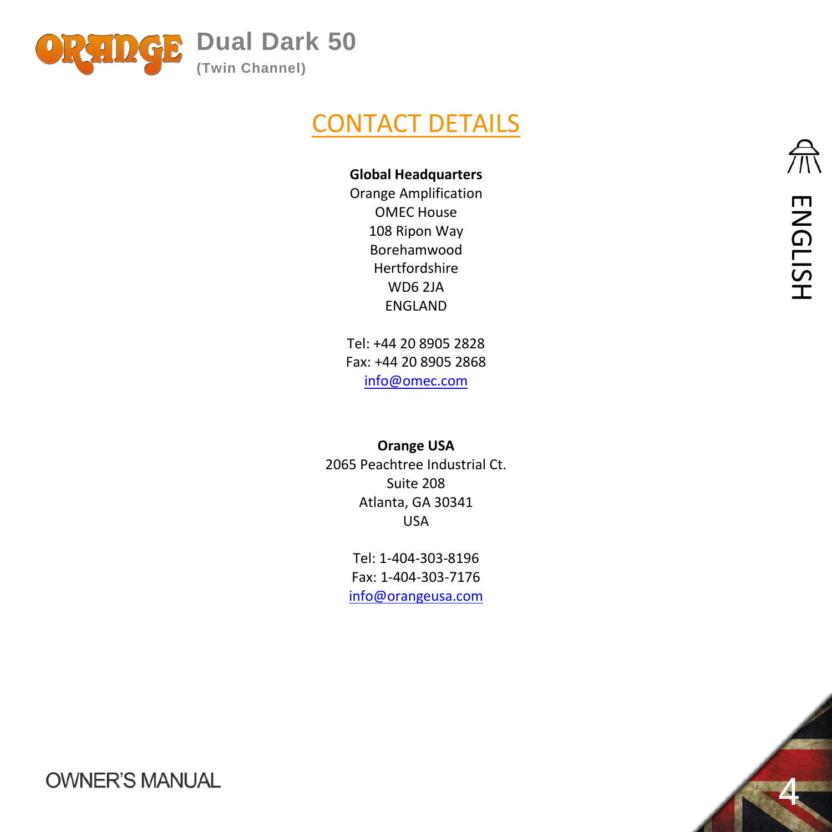<span id="page-3-0"></span>

# CONTACT DETAILS

#### **Global Headquarters**

Orange Amplification OMEC House 108 Ripon Way Borehamwood Hertfordshire WD6 2JA ENGLAND

Tel: +44 20 8905 2828 Fax: +44 20 8905 2868 [info@omec.com](mailto:info@omec.com)

**Orange USA** 2065 Peachtree Industrial Ct. Suite 208 Atlanta, GA 30341 USA

> Tel: 1-404-303-8196 Fax: 1-404-303-7176 [info@orangeusa.com](mailto:info@orangeusa.com)

4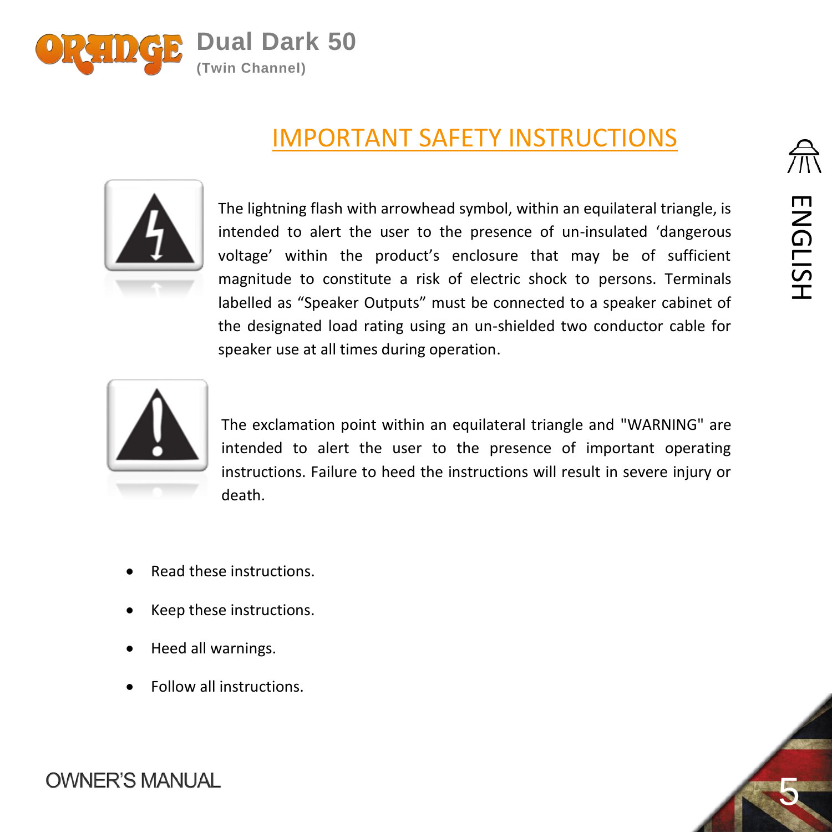

# <span id="page-4-0"></span>IMPORTANT SAFETY INSTRUCTIONS



The lightning flash with arrowhead symbol, within an equilateral triangle, is intended to alert the user to the presence of un-insulated 'dangerous voltage' within the product's enclosure that may be of sufficient magnitude to constitute a risk of electric shock to persons. Terminals labelled as "Speaker Outputs" must be connected to a speaker cabinet of the designated load rating using an un-shielded two conductor cable for speaker use at all times during operation.



The exclamation point within an equilateral triangle and "WARNING" are intended to alert the user to the presence of important operating instructions. Failure to heed the instructions will result in severe injury or death.

- Read these instructions.
- Keep these instructions.
- Heed all warnings.
- Follow all instructions





5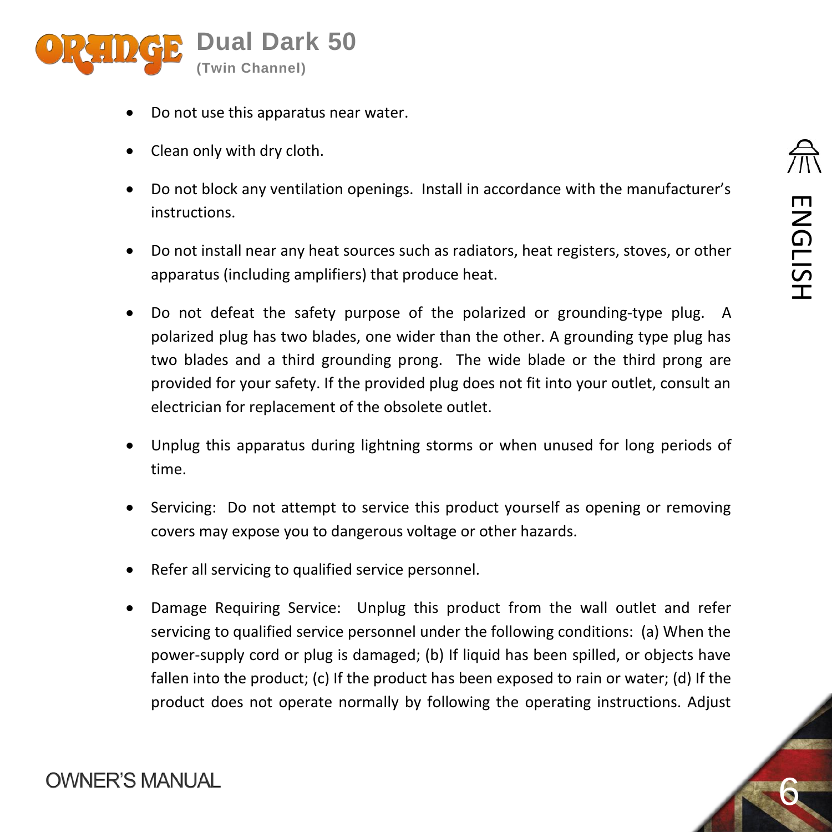

- Do not use this apparatus near water.
- Clean only with dry cloth.
- Do not block any ventilation openings. Install in accordance with the manufacturer's instructions.
- Do not install near any heat sources such as radiators, heat registers, stoves, or other apparatus (including amplifiers) that produce heat.
- Do not defeat the safety purpose of the polarized or grounding-type plug. A polarized plug has two blades, one wider than the other. A grounding type plug has two blades and a third grounding prong. The wide blade or the third prong are provided for your safety. If the provided plug does not fit into your outlet, consult an electrician for replacement of the obsolete outlet.
- Unplug this apparatus during lightning storms or when unused for long periods of time.
- Servicing: Do not attempt to service this product yourself as opening or removing covers may expose you to dangerous voltage or other hazards.
- Refer all servicing to qualified service personnel.
- Damage Requiring Service: Unplug this product from the wall outlet and refer servicing to qualified service personnel under the following conditions: (a) When the power-supply cord or plug is damaged; (b) If liquid has been spilled, or objects have fallen into the product; (c) If the product has been exposed to rain or water; (d) If the product does not operate normally by following the operating instructions. Adjust

6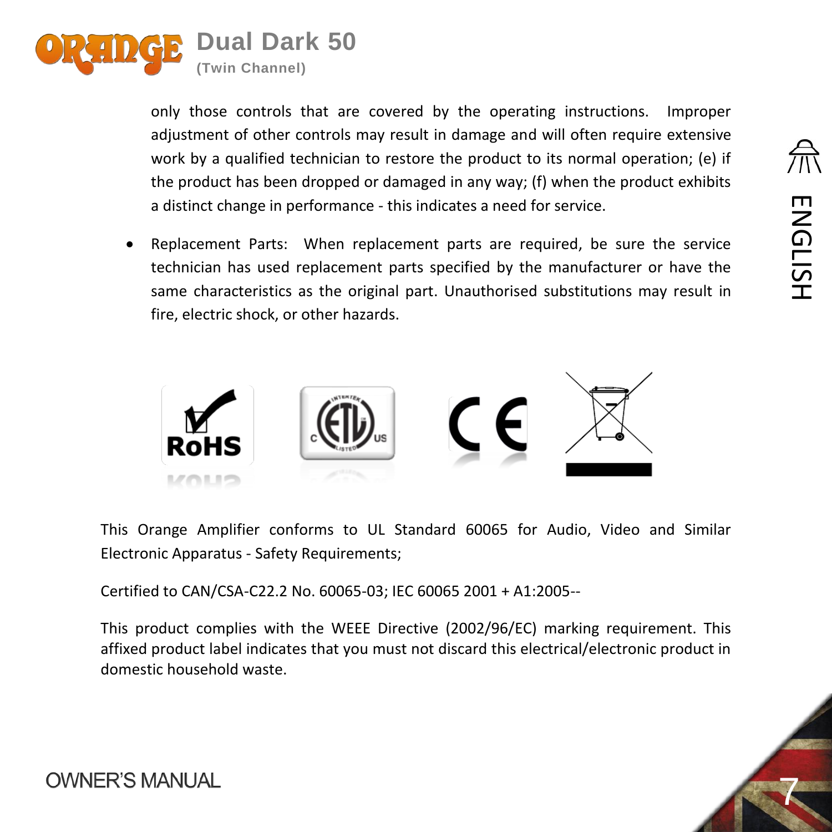

only those controls that are covered by the operating instructions. Improper adjustment of other controls may result in damage and will often require extensive work by a qualified technician to restore the product to its normal operation; (e) if the product has been dropped or damaged in any way; (f) when the product exhibits a distinct change in performance - this indicates a need for service.

 Replacement Parts: When replacement parts are required, be sure the service technician has used replacement parts specified by the manufacturer or have the same characteristics as the original part. Unauthorised substitutions may result in fire, electric shock, or other hazards.



This Orange Amplifier conforms to UL Standard 60065 for Audio, Video and Similar Electronic Apparatus - Safety Requirements;

Certified to CAN/CSA-C22.2 No. 60065-03; IEC 60065 2001 + A1:2005--

This product complies with the WEEE Directive (2002/96/EC) marking requirement. This affixed product label indicates that you must not discard this electrical/electronic product in domestic household waste.



ENGLISH

**ENGLISH**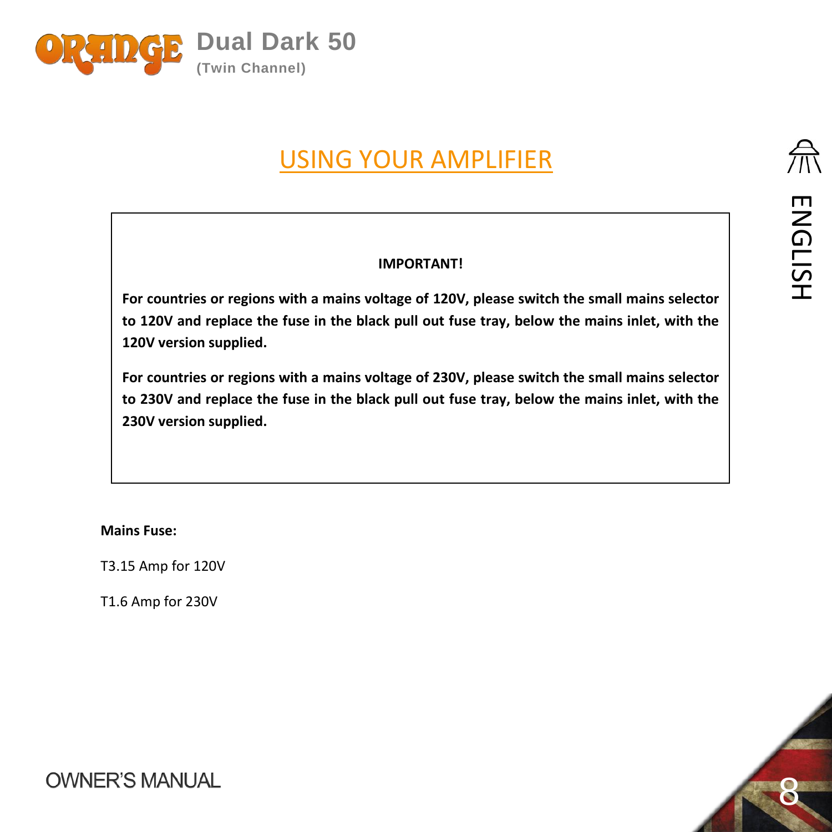<span id="page-7-0"></span>

# USING YOUR AMPLIFIER

#### **IMPORTANT!**

**For countries or regions with a mains voltage of 120V, please switch the small mains selector to 120V and replace the fuse in the black pull out fuse tray, below the mains inlet, with the 120V version supplied.**

**For countries or regions with a mains voltage of 230V, please switch the small mains selector to 230V and replace the fuse in the black pull out fuse tray, below the mains inlet, with the 230V version supplied.**

**Mains Fuse:**

T3.15 Amp for 120V

T1.6 Amp for 230V

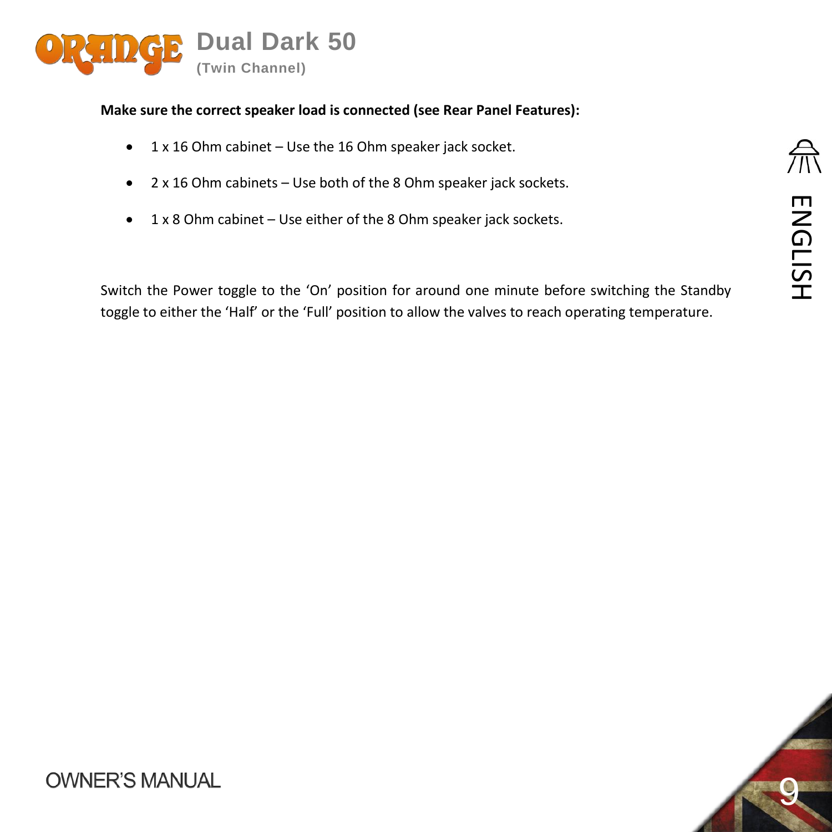

#### **Make sure the correct speaker load is connected (see Rear Panel Features):**

- $\bullet$  1 x 16 Ohm cabinet Use the 16 Ohm speaker jack socket.
- 2 x 16 Ohm cabinets Use both of the 8 Ohm speaker jack sockets.
- 1 x 8 Ohm cabinet Use either of the 8 Ohm speaker jack sockets.

Switch the Power toggle to the 'On' position for around one minute before switching the Standby toggle to either the 'Half' or the 'Full' position to allow the valves to reach operating temperature.

9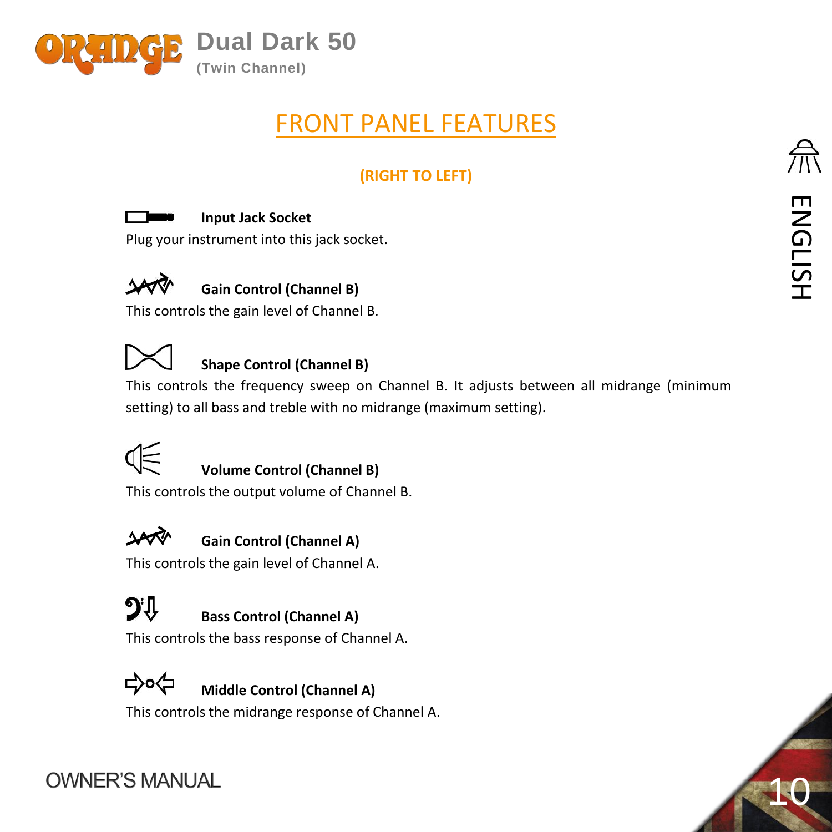<span id="page-9-0"></span>

# FRONT PANEL FEATURES

## **(RIGHT TO LEFT)**

#### **Input Jack Socket**

Plug your instrument into this jack socket.



## **Gain Control (Channel B)**

This controls the gain level of Channel B.



## **Shape Control (Channel B)**

This controls the frequency sweep on Channel B. It adjusts between all midrange (minimum setting) to all bass and treble with no midrange (maximum setting).



#### **Volume Control (Channel B)**

This controls the output volume of Channel B.



## **Gain Control (Channel A)**

This controls the gain level of Channel A.



## **Bass Control (Channel A)**

This controls the bass response of Channel A.



## **Middle Control (Channel A)**

This controls the midrange response of Channel A.

10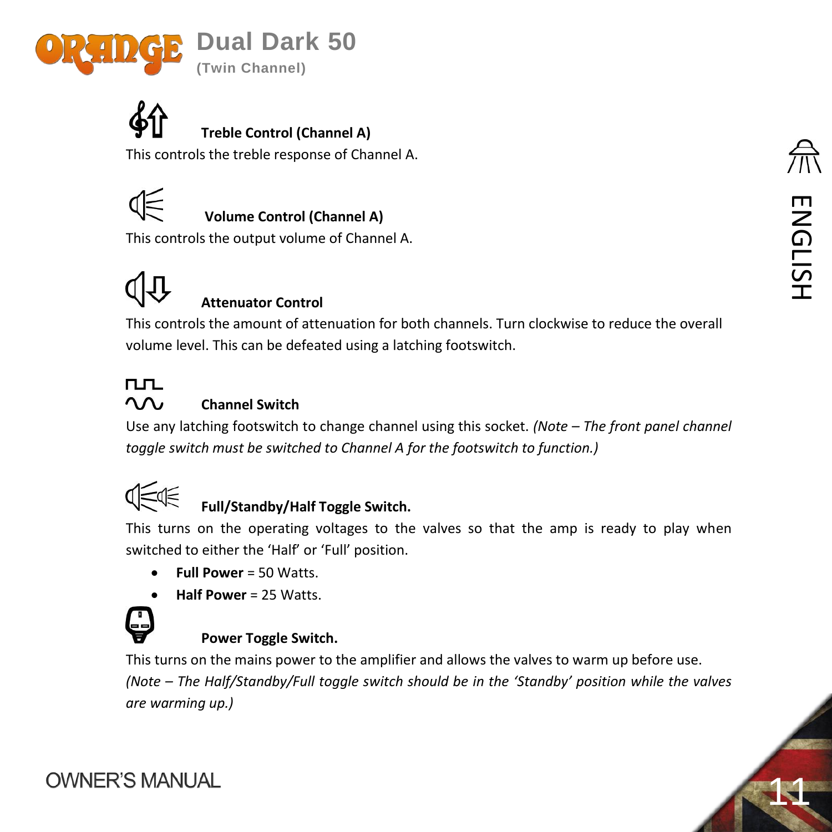



## **Treble Control (Channel A)**

This controls the treble response of Channel A.



## **Volume Control (Channel A)**

This controls the output volume of Channel A.

## **Attenuator Control**

This controls the amount of attenuation for both channels. Turn clockwise to reduce the overall volume level. This can be defeated using a latching footswitch.

#### **TLTL**  $\Omega$

#### **Channel Switch**

Use any latching footswitch to change channel using this socket. *(Note – The front panel channel toggle switch must be switched to Channel A for the footswitch to function.)*



## **Full/Standby/Half Toggle Switch.**

This turns on the operating voltages to the valves so that the amp is ready to play when switched to either the 'Half' or 'Full' position.

- **Full Power** = 50 Watts.
- **Half Power** = 25 Watts.



#### <span id="page-10-0"></span>**Power Toggle Switch.**

This turns on the mains power to the amplifier and allows the valves to warm up before use. *(Note – The Half/Standby/Full toggle switch should be in the 'Standby' position while the valves are warming up.)* 

11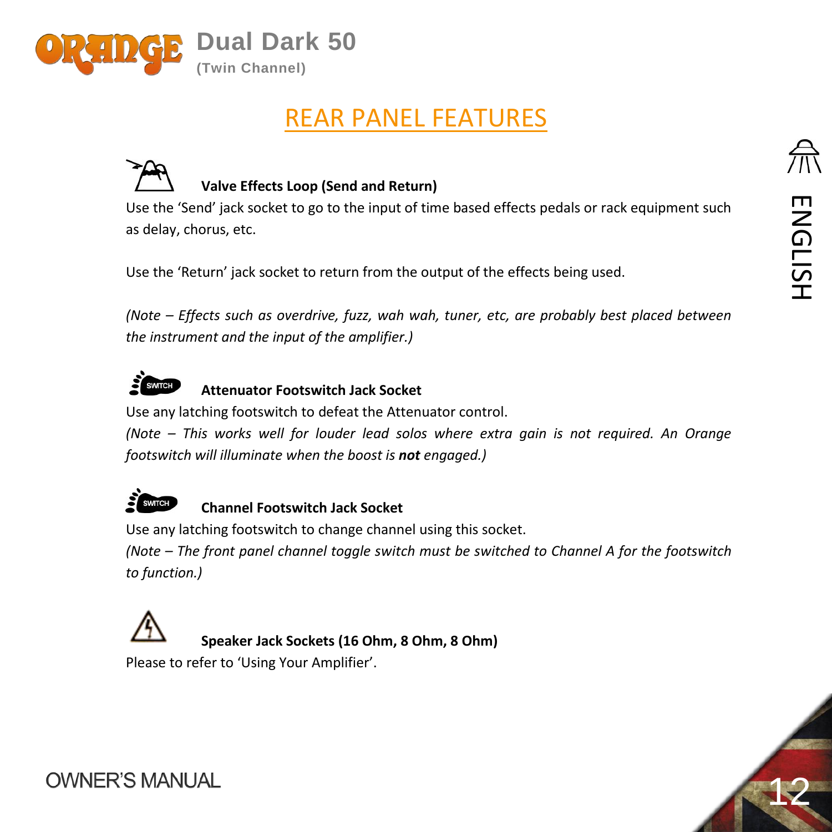

# REAR PANEL FEATURES



## **Valve Effects Loop (Send and Return)**

Use the 'Send' jack socket to go to the input of time based effects pedals or rack equipment such as delay, chorus, etc.

Use the 'Return' jack socket to return from the output of the effects being used.

*(Note – Effects such as overdrive, fuzz, wah wah, tuner, etc, are probably best placed between the instrument and the input of the amplifier.)*



#### **Attenuator Footswitch Jack Socket**

Use any latching footswitch to defeat the Attenuator control.

*(Note – This works well for louder lead solos where extra gain is not required. An Orange footswitch will illuminate when the boost is not engaged.)*



#### **Channel Footswitch Jack Socket**

Use any latching footswitch to change channel using this socket.

*(Note – The front panel channel toggle switch must be switched to Channel A for the footswitch to function.)*



**Speaker Jack Sockets (16 Ohm, 8 Ohm, 8 Ohm)**

Please to refer to 'Using Your Amplifier'.



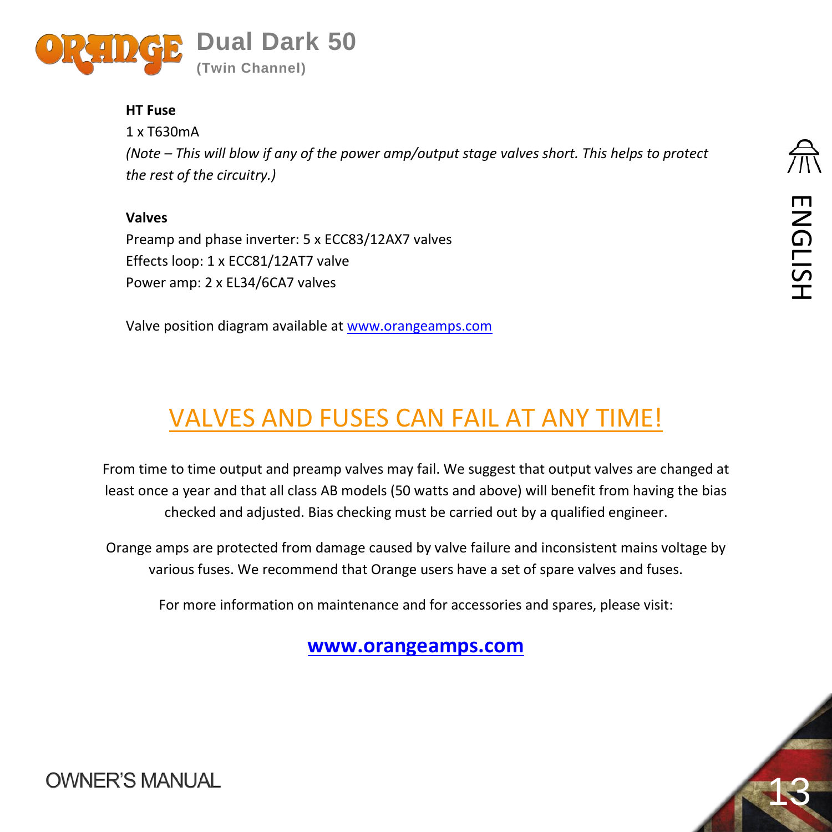

#### **HT Fuse**

1 x T630mA *(Note – This will blow if any of the power amp/output stage valves short. This helps to protect the rest of the circuitry.)*

## **Valves**

Preamp and phase inverter: 5 x ECC83/12AX7 valves Effects loop: 1 x ECC81/12AT7 valve Power amp: 2 x EL34/6CA7 valves

Valve position diagram available at [www.orangeamps.com](http://www.orangeamps.com/)

# VALVES AND FUSES CAN FAIL AT ANY TIME!

From time to time output and preamp valves may fail. We suggest that output valves are changed at least once a year and that all class AB models (50 watts and above) will benefit from having the bias checked and adjusted. Bias checking must be carried out by a qualified engineer.

Orange amps are protected from damage caused by valve failure and inconsistent mains voltage by various fuses. We recommend that Orange users have a set of spare valves and fuses.

For more information on maintenance and for accessories and spares, please visit:

**[www.orangeamps.com](http://www.orangeamps.com/)**

13